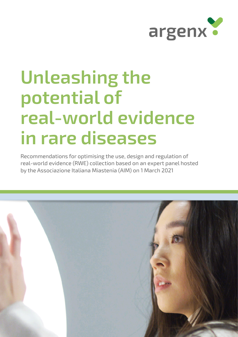

# **Unleashing the potential of real-world evidence in rare diseases**

Recommendations for optimising the use, design and regulation of real-world evidence (RWE) collection based on an expert panel hosted by the Associazione Italiana Miastenia (AIM) on 1 March 2021

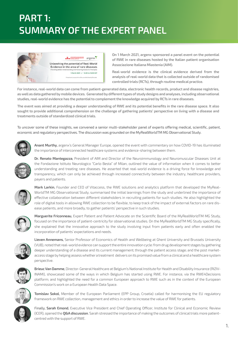# **PART 1: SUMMARY OF THE EXPERT PANEL**



**On 1 March 2021, argenx sponsored a panel event on the potential of RWE in rare diseases hosted by the Italian patient organisation Associazione Italiana Miastenia (AIM).** 

**Real-world evidence is the clinical evidence derived from the analysis of real-world data that is collected outside of randomised controlled trials (RCTs), through routine medical practice.** 

**For instance, real-world data can come from patient-generated data, electronic health records, product and disease registries, as well as data gathered by mobile devices. Generated by different types of study designs and analyses, including observational studies, real-world evidence has the potential to complement the knowledge acquired by RCTs in rare diseases.**

**The event was aimed at providing a deeper understanding of RWE and its potential benefits in the rare disease space. It also sought to provide additional comprehension on the challenge of gathering patients' perspective on living with a disease and treatments outside of standardized clinical trials.** 

To uncover some of these insights, we convened a senior multi-stakeholder panel of experts offering medical, scientific, patient, economic and regulatory perspectives. The discussion was grounded on the MyRealWorldTM MG Observational Study.



**Anant Murthy**, argenx's General Manager Europe, opened the event with commentary on how COVID-19 has illuminated the importance of interconnected healthcare systems and evidence-sharing between them.



**Dr. Renato Mantegazza**, President of AIM and Director of the Neuroimmunology and Neuromuscular Diseases Unit at the Fondazione Istituto Neurologico "Carlo Besta" of Milan, outlined the value of information when it comes to better understanding and treating rare diseases. He asserted that real-world evidence is a driving force for knowledge and transparency, which can only be achieved through increased connectivity between the industry, healthcare providers, payers and patients.



**Mark Larkin**, Founder and CEO of Vitaccess, the RWE solutions and analytics platform that developed the MyReal-WorldTM MG Observational Study, summarised the initial learnings from the study and underlined the importance of effective collaboration between different stakeholders in recruiting patients for such studies. He also highlighted the role of digital tools in allowing RWE collection to be flexible, to keep track of the impact of external factors on rare disease patients, and more broadly, to gather patients' perspective in such studies.



**Marguerite Friconneau**, Expert Patient and Patient Advocate on the Scientific Board of the MyRealWorldTM MG Study, focused on the importance of patient-centricity for observational studies. On the MyRealWorldTM MG Study specifically, she explained that the innovative approach to the study involving input from patients early and often enabled the incorporation of patients' expectations and needs.



**Lieven Annemans**, Senior Professor of Economics of Health and Wellbeing at Ghent University and Brussels University (VUB), noted that real-world evidence can support the entire innovation cycle: from drug development stages by gathering deeper understanding of a disease and its current management; through the patient access stage; and the post marketaccess stage by helping assess whether a treatment delivers on its promised value from a clinical and a healthcare system perspective.



**Brieuc Van Damme**, Director-General Healthcare at Belgium's National Institute for Health and Disability Insurance (RIZIV-INAMI), showcased some of the ways in which Belgium has started using RWE. For instance, via the RWE4Decisions platform; and highlighted the need for a common European approach to RWE such as in the context of the European Commission's work on a European Health Data Space.



**Tomislav Sokol**, Member of the European Parliament (EPP Group, Croatia) called for harmonising the EU regulatory framework on RWE collection, management and ethics in order to increase the value of RWE for patients.



Finally, **Sarah Emond**, Executive Vice President and Chief Operating Officer, Institute for Clinical and Economic Review (ICER), opened the **Q&A discussion**. Sarah stressed the importance of making the outcomes of clinical trials more patientcentred with the support of RWE.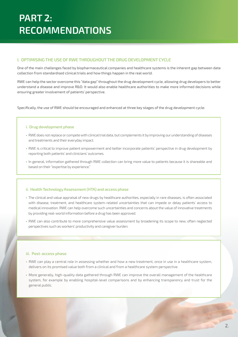# **I. OPTIMISING THE USE OF RWE THROUGHOUT THE DRUG DEVELOPMENT CYCLE**

One of the main challenges faced by biopharmaceutical companies and healthcare systems is the inherent gap between data collection from standardised clinical trials and how things happen in the real world.

RWE can help the sector overcome this "data gap" throughout the drug development cycle, allowing drug developers to better understand a disease and improve R&D. It would also enable healthcare authorities to make more informed decisions while ensuring greater involvement of patients' perspective.

Specifically, the use of RWE should be encouraged and enhanced at three key stages of the drug development cycle:

## **i. Drug development phase**

- RWE does not replace or compete with clinical trial data, but complements it by improving our understanding of diseases and treatments and their everyday impact.
- RWE is critical to improve patient empowerment and better incorporate patients' perspective in drug development by reporting both patients' and clinicians' outcomes.
- In general, information gathered through RWE collection can bring more value to patients because it is shareable and based on their "expertise by experience."

## **ii. Health Technology Assessment (HTA) and access phase**

- The clinical and value appraisal of new drugs by healthcare authorities, especially in rare diseases, is often associated with disease, treatment, and healthcare system-related uncertainties that can impede or delay patients' access to medical innovation. RWE can help overcome such uncertainties and concerns about the value of innovative treatments by providing real-world information before a drug has been approved.
- RWE can also contribute to more comprehensive value assessment by broadening its scope to new, often neglected perspectives such as workers' productivity and caregiver burden.

## **iii. Post-access phase**

- RWE can play a central role in assessing whether and how a new treatment, once in use in a healthcare system, delivers on its promised value both from a clinical and from a healthcare system perspective.
- More generally, high-quality data gathered through RWE can improve the overall management of the healthcare system, for example by enabling hospital-level comparisons and by enhancing transparency and trust for the general public.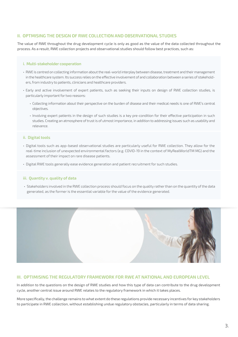# **II. OPTMISING THE DESIGN OF RWE COLLECTION AND OBSERVATIONAL STUDIES**

The value of RWE throughout the drug development cycle is only as good as the value of the data collected throughout the process. As a result, RWE collection projects and observational studies should follow best practices, such as:

## **i. Multi-stakeholder cooperation**

- RWE is centred on collecting information about the real-world interplay between disease, treatment and their management in the healthcare system. Its success relies on the effective involvement of and collaboration between a series of stakeholders, from industry to patients, clinicians and healthcare providers.
- Early and active involvement of expert patients, such as seeking their inputs on design of RWE collection studies, is particularly important for two reasons:
	- Collecting information about their perspective on the burden of disease and their medical needs is one of RWE's central objectives.
	- Involving expert patients in the design of such studies is a key pre-condition for their effective participation in such studies. Creating an atmosphere of trust is of utmost importance, in addition to addressing issues such as usability and relevance.

# **ii. Digital tools**

- Digital tools such as app-based observational studies are particularly useful for RWE collection. They allow for the real-time inclusion of unexpected environmental factors (e.g. COVID-19 in the context of MyRealWorldTM MG) and the assessment of their impact on rare disease patients.
- Digital RWE tools generally ease evidence generation and patient recruitment for such studies.

# **iii. Quantity v. quality of data**

• Stakeholders involved in the RWE collection process should focus on the quality rather than on the quantity of the data generated, as the former is the essential variable for the value of the evidence generated.



# **III. OPTIMISING THE REGULATORY FRAMEWORK FOR RWE AT NATIONAL AND EUROPEAN LEVEL**

In addition to the questions on the design of RWE studies and how this type of data can contribute to the drug development cycle, another central issue around RWE relates to the regulatory framework in which it takes places.

More specifically, the challenge remains to what extent do these regulations provide necessary incentives for key stakeholders to participate in RWE collection, without establishing undue regulatory obstacles, particularly in terms of data sharing.